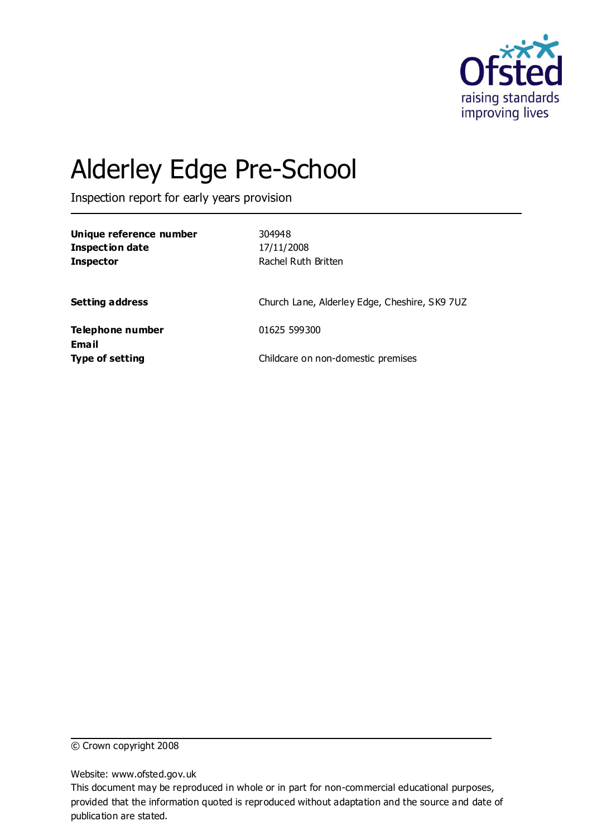

# Alderley Edge Pre-School

Inspection report for early years provision

| Unique reference number<br><b>Inspection date</b><br><b>Inspector</b> | 304948<br>17/11/2008<br>Rachel Ruth Britten   |
|-----------------------------------------------------------------------|-----------------------------------------------|
| <b>Setting address</b>                                                | Church Lane, Alderley Edge, Cheshire, SK9 7UZ |
| Telephone number                                                      | 01625 599300                                  |
| <b>Email</b><br><b>Type of setting</b>                                | Childcare on non-domestic premises            |

© Crown copyright 2008

Website: www.ofsted.gov.uk

This document may be reproduced in whole or in part for non-commercial educational purposes, provided that the information quoted is reproduced without adaptation and the source and date of publication are stated.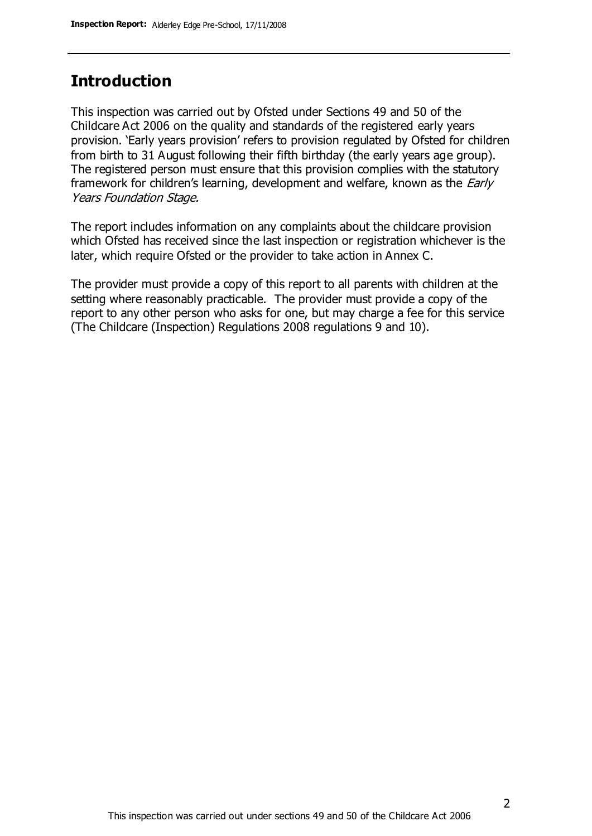#### **Introduction**

This inspection was carried out by Ofsted under Sections 49 and 50 of the Childcare Act 2006 on the quality and standards of the registered early years provision. 'Early years provision' refers to provision regulated by Ofsted for children from birth to 31 August following their fifth birthday (the early years age group). The registered person must ensure that this provision complies with the statutory framework for children's learning, development and welfare, known as the *Early* Years Foundation Stage.

The report includes information on any complaints about the childcare provision which Ofsted has received since the last inspection or registration whichever is the later, which require Ofsted or the provider to take action in Annex C.

The provider must provide a copy of this report to all parents with children at the setting where reasonably practicable. The provider must provide a copy of the report to any other person who asks for one, but may charge a fee for this service (The Childcare (Inspection) Regulations 2008 regulations 9 and 10).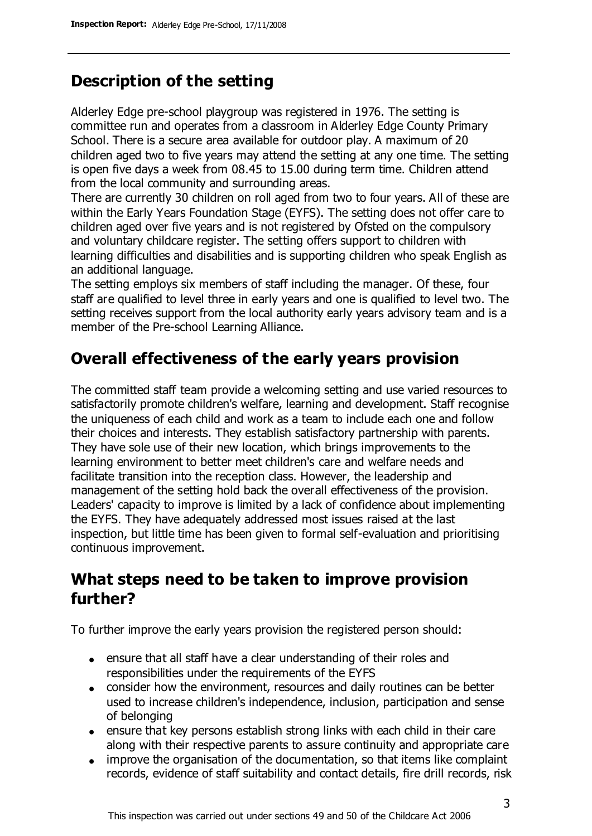# **Description of the setting**

Alderley Edge pre-school playgroup was registered in 1976. The setting is committee run and operates from a classroom in Alderley Edge County Primary School. There is a secure area available for outdoor play. A maximum of 20 children aged two to five years may attend the setting at any one time. The setting is open five days a week from 08.45 to 15.00 during term time. Children attend from the local community and surrounding areas.

There are currently 30 children on roll aged from two to four years. All of these are within the Early Years Foundation Stage (EYFS). The setting does not offer care to children aged over five years and is not registered by Ofsted on the compulsory and voluntary childcare register. The setting offers support to children with learning difficulties and disabilities and is supporting children who speak English as an additional language.

The setting employs six members of staff including the manager. Of these, four staff are qualified to level three in early years and one is qualified to level two. The setting receives support from the local authority early years advisory team and is a member of the Pre-school Learning Alliance.

# **Overall effectiveness of the early years provision**

The committed staff team provide a welcoming setting and use varied resources to satisfactorily promote children's welfare, learning and development. Staff recognise the uniqueness of each child and work as a team to include each one and follow their choices and interests. They establish satisfactory partnership with parents. They have sole use of their new location, which brings improvements to the learning environment to better meet children's care and welfare needs and facilitate transition into the reception class. However, the leadership and management of the setting hold back the overall effectiveness of the provision. Leaders' capacity to improve is limited by a lack of confidence about implementing the EYFS. They have adequately addressed most issues raised at the last inspection, but little time has been given to formal self-evaluation and prioritising continuous improvement.

## **What steps need to be taken to improve provision further?**

To further improve the early years provision the registered person should:

- ensure that all staff have a clear understanding of their roles and responsibilities under the requirements of the EYFS
- consider how the environment, resources and daily routines can be better used to increase children's independence, inclusion, participation and sense of belonging
- ensure that key persons establish strong links with each child in their care along with their respective parents to assure continuity and appropriate care
- improve the organisation of the documentation, so that items like complaint records, evidence of staff suitability and contact details, fire drill records, risk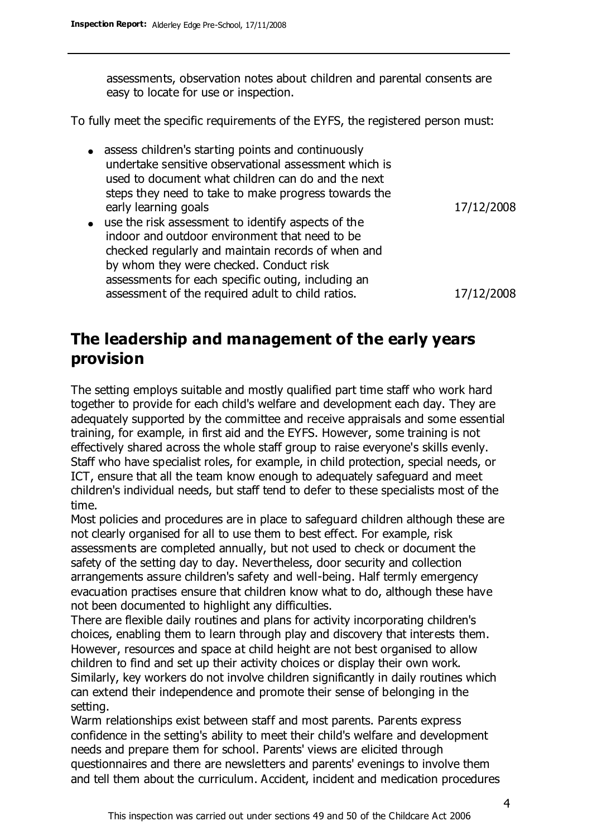assessments, observation notes about children and parental consents are easy to locate for use or inspection.

To fully meet the specific requirements of the EYFS, the registered person must:

• assess children's starting points and continuously undertake sensitive observational assessment which is used to document what children can do and the next steps they need to take to make progress towards the early learning goals and the state of the 17/12/2008

use the risk assessment to identify aspects of the indoor and outdoor environment that need to be checked regularly and maintain records of when and by whom they were checked. Conduct risk assessments for each specific outing, including an assessment of the required adult to child ratios. 17/12/2008

### **The leadership and management of the early years provision**

The setting employs suitable and mostly qualified part time staff who work hard together to provide for each child's welfare and development each day. They are adequately supported by the committee and receive appraisals and some essential training, for example, in first aid and the EYFS. However, some training is not effectively shared across the whole staff group to raise everyone's skills evenly. Staff who have specialist roles, for example, in child protection, special needs, or ICT, ensure that all the team know enough to adequately safeguard and meet children's individual needs, but staff tend to defer to these specialists most of the time.

Most policies and procedures are in place to safeguard children although these are not clearly organised for all to use them to best effect. For example, risk assessments are completed annually, but not used to check or document the safety of the setting day to day. Nevertheless, door security and collection arrangements assure children's safety and well-being. Half termly emergency evacuation practises ensure that children know what to do, although these have not been documented to highlight any difficulties.

There are flexible daily routines and plans for activity incorporating children's choices, enabling them to learn through play and discovery that interests them. However, resources and space at child height are not best organised to allow children to find and set up their activity choices or display their own work. Similarly, key workers do not involve children significantly in daily routines which can extend their independence and promote their sense of belonging in the setting.

Warm relationships exist between staff and most parents. Parents express confidence in the setting's ability to meet their child's welfare and development needs and prepare them for school. Parents' views are elicited through questionnaires and there are newsletters and parents' evenings to involve them and tell them about the curriculum. Accident, incident and medication procedures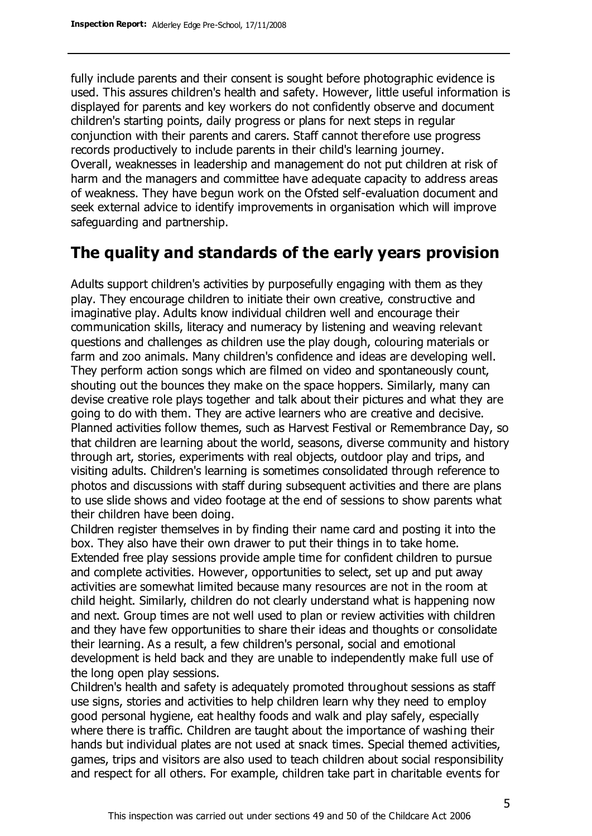fully include parents and their consent is sought before photographic evidence is used. This assures children's health and safety. However, little useful information is displayed for parents and key workers do not confidently observe and document children's starting points, daily progress or plans for next steps in regular conjunction with their parents and carers. Staff cannot therefore use progress records productively to include parents in their child's learning journey. Overall, weaknesses in leadership and management do not put children at risk of harm and the managers and committee have adequate capacity to address areas of weakness. They have begun work on the Ofsted self-evaluation document and seek external advice to identify improvements in organisation which will improve safeguarding and partnership.

## **The quality and standards of the early years provision**

Adults support children's activities by purposefully engaging with them as they play. They encourage children to initiate their own creative, constructive and imaginative play. Adults know individual children well and encourage their communication skills, literacy and numeracy by listening and weaving relevant questions and challenges as children use the play dough, colouring materials or farm and zoo animals. Many children's confidence and ideas are developing well. They perform action songs which are filmed on video and spontaneously count, shouting out the bounces they make on the space hoppers. Similarly, many can devise creative role plays together and talk about their pictures and what they are going to do with them. They are active learners who are creative and decisive. Planned activities follow themes, such as Harvest Festival or Remembrance Day, so that children are learning about the world, seasons, diverse community and history through art, stories, experiments with real objects, outdoor play and trips, and visiting adults. Children's learning is sometimes consolidated through reference to photos and discussions with staff during subsequent activities and there are plans to use slide shows and video footage at the end of sessions to show parents what their children have been doing.

Children register themselves in by finding their name card and posting it into the box. They also have their own drawer to put their things in to take home. Extended free play sessions provide ample time for confident children to pursue and complete activities. However, opportunities to select, set up and put away activities are somewhat limited because many resources are not in the room at child height. Similarly, children do not clearly understand what is happening now and next. Group times are not well used to plan or review activities with children and they have few opportunities to share their ideas and thoughts or consolidate their learning. As a result, a few children's personal, social and emotional development is held back and they are unable to independently make full use of the long open play sessions.

Children's health and safety is adequately promoted throughout sessions as staff use signs, stories and activities to help children learn why they need to employ good personal hygiene, eat healthy foods and walk and play safely, especially where there is traffic. Children are taught about the importance of washing their hands but individual plates are not used at snack times. Special themed activities, games, trips and visitors are also used to teach children about social responsibility and respect for all others. For example, children take part in charitable events for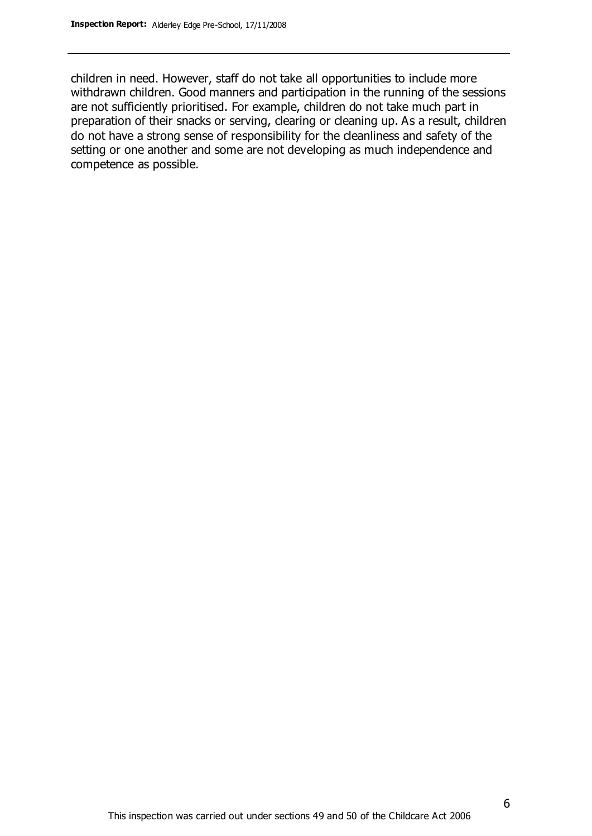children in need. However, staff do not take all opportunities to include more withdrawn children. Good manners and participation in the running of the sessions are not sufficiently prioritised. For example, children do not take much part in preparation of their snacks or serving, clearing or cleaning up. As a result, children do not have a strong sense of responsibility for the cleanliness and safety of the setting or one another and some are not developing as much independence and competence as possible.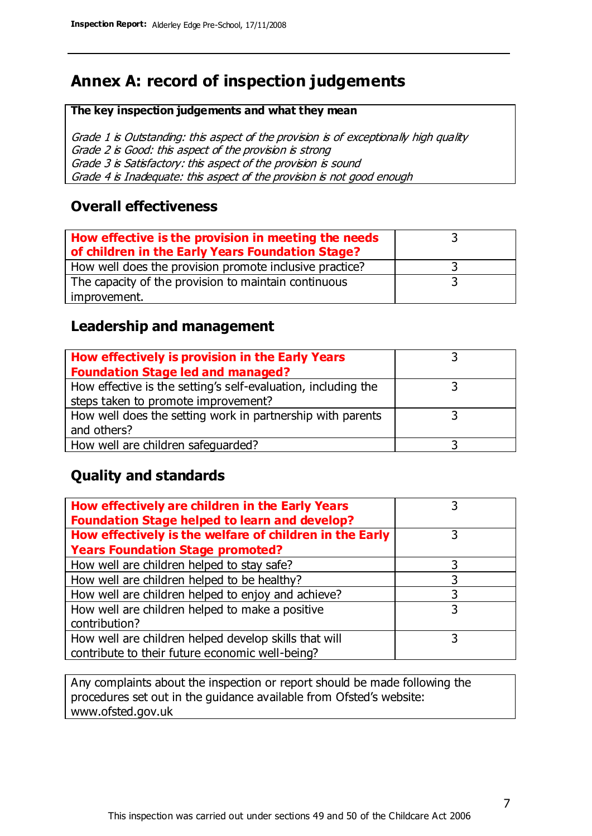# **Annex A: record of inspection judgements**

#### **The key inspection judgements and what they mean**

Grade 1 is Outstanding: this aspect of the provision is of exceptionally high quality Grade 2 is Good: this aspect of the provision is strong Grade 3 is Satisfactory: this aspect of the provision is sound Grade 4 is Inadequate: this aspect of the provision is not good enough

#### **Overall effectiveness**

| How effective is the provision in meeting the needs<br>of children in the Early Years Foundation Stage? |  |
|---------------------------------------------------------------------------------------------------------|--|
| How well does the provision promote inclusive practice?                                                 |  |
| The capacity of the provision to maintain continuous                                                    |  |
| improvement.                                                                                            |  |

#### **Leadership and management**

| How effectively is provision in the Early Years               |  |
|---------------------------------------------------------------|--|
| <b>Foundation Stage led and managed?</b>                      |  |
| How effective is the setting's self-evaluation, including the |  |
| steps taken to promote improvement?                           |  |
| How well does the setting work in partnership with parents    |  |
| and others?                                                   |  |
| How well are children safequarded?                            |  |

#### **Quality and standards**

| How effectively are children in the Early Years<br><b>Foundation Stage helped to learn and develop?</b> |   |
|---------------------------------------------------------------------------------------------------------|---|
| How effectively is the welfare of children in the Early                                                 | 3 |
| <b>Years Foundation Stage promoted?</b>                                                                 |   |
| How well are children helped to stay safe?                                                              |   |
| How well are children helped to be healthy?                                                             | 3 |
| How well are children helped to enjoy and achieve?                                                      | 3 |
| How well are children helped to make a positive                                                         | 3 |
| contribution?                                                                                           |   |
| How well are children helped develop skills that will                                                   |   |
| contribute to their future economic well-being?                                                         |   |

Any complaints about the inspection or report should be made following the procedures set out in the guidance available from Ofsted's website: www.ofsted.gov.uk